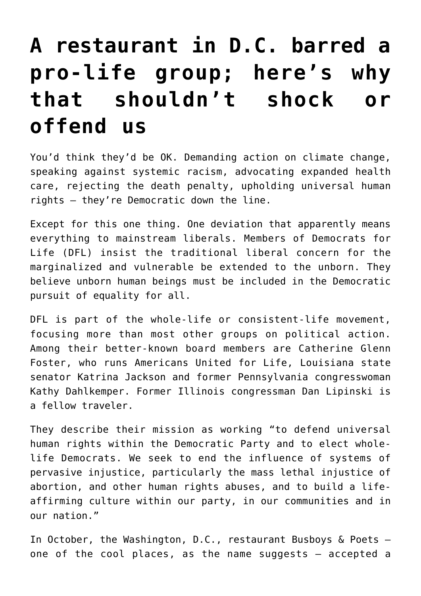## **[A restaurant in D.C. barred a](https://www.osvnews.com/2022/01/21/a-restaurant-in-d-c-barred-a-pro-life-group-heres-why-that-shouldnt-shock-or-offend-us/) [pro-life group; here's why](https://www.osvnews.com/2022/01/21/a-restaurant-in-d-c-barred-a-pro-life-group-heres-why-that-shouldnt-shock-or-offend-us/) [that shouldn't shock or](https://www.osvnews.com/2022/01/21/a-restaurant-in-d-c-barred-a-pro-life-group-heres-why-that-shouldnt-shock-or-offend-us/) [offend us](https://www.osvnews.com/2022/01/21/a-restaurant-in-d-c-barred-a-pro-life-group-heres-why-that-shouldnt-shock-or-offend-us/)**

You'd think they'd be OK. Demanding action on climate change, speaking against systemic racism, advocating expanded health care, rejecting the death penalty, upholding universal human rights — they're Democratic down the line.

Except for this one thing. One deviation that apparently means everything to mainstream liberals. Members of Democrats for Life (DFL) insist the traditional liberal concern for the marginalized and vulnerable be extended to the unborn. They believe unborn human beings must be included in the Democratic pursuit of equality for all.

DFL is part of the whole-life or consistent-life movement, focusing more than most other groups on political action. Among their better-known board members are Catherine Glenn Foster, who runs Americans United for Life, Louisiana state senator Katrina Jackson and former Pennsylvania congresswoman Kathy Dahlkemper. Former Illinois congressman Dan Lipinski is a fellow traveler.

They describe their mission as working "to defend universal human rights within the Democratic Party and to elect wholelife Democrats. We seek to end the influence of systems of pervasive injustice, particularly the mass lethal injustice of abortion, and other human rights abuses, and to build a lifeaffirming culture within our party, in our communities and in our nation."

In October, the Washington, D.C., restaurant Busboys & Poets one of the cool places, as the name suggests — accepted a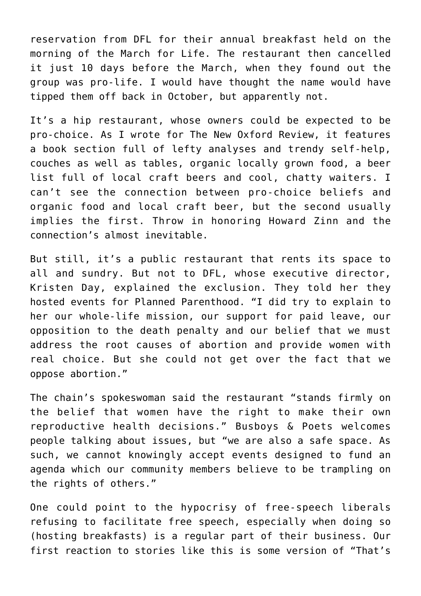reservation from DFL for their annual breakfast held on the morning of the March for Life. The restaurant then cancelled it just 10 days before the March, when they found out the group was pro-life. I would have thought the name would have tipped them off back in October, but apparently not.

It's a hip restaurant, whose owners could be expected to be pro-choice. As I wrote for The New Oxford Review, it features a book section full of lefty analyses and trendy self-help, couches as well as tables, organic locally grown food, a beer list full of local craft beers and cool, chatty waiters. I can't see the connection between pro-choice beliefs and organic food and local craft beer, but the second usually implies the first. Throw in honoring Howard Zinn and the connection's almost inevitable.

But still, it's a public restaurant that rents its space to all and sundry. But not to DFL, whose executive director, Kristen Day, explained the exclusion. They told her they hosted events for Planned Parenthood. "I did try to explain to her our whole-life mission, our support for paid leave, our opposition to the death penalty and our belief that we must address the root causes of abortion and provide women with real choice. But she could not get over the fact that we oppose abortion."

The chain's spokeswoman said the restaurant "stands firmly on the belief that women have the right to make their own reproductive health decisions." Busboys & Poets welcomes people talking about issues, but "we are also a safe space. As such, we cannot knowingly accept events designed to fund an agenda which our community members believe to be trampling on the rights of others."

One could point to the hypocrisy of free-speech liberals refusing to facilitate free speech, especially when doing so (hosting breakfasts) is a regular part of their business. Our first reaction to stories like this is some version of "That's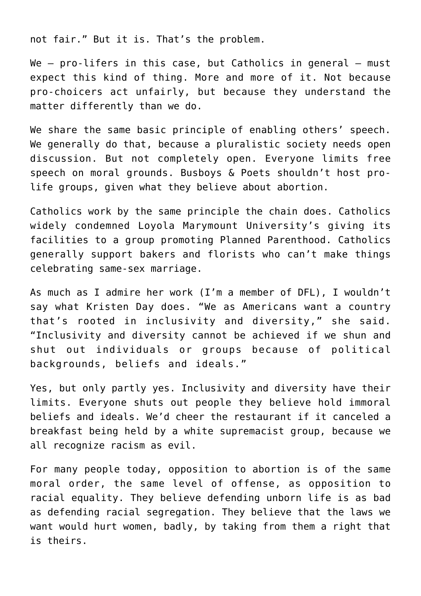not fair." But it is. That's the problem.

We  $-$  pro-lifers in this case, but Catholics in general  $-$  must expect this kind of thing. More and more of it. Not because pro-choicers act unfairly, but because they understand the matter differently than we do.

We share the same basic principle of enabling others' speech. We generally do that, because a pluralistic society needs open discussion. But not completely open. Everyone limits free speech on moral grounds. Busboys & Poets shouldn't host prolife groups, given what they believe about abortion.

Catholics work by the same principle the chain does. Catholics widely condemned Loyola Marymount University's giving its facilities to a group promoting Planned Parenthood. Catholics generally support bakers and florists who can't make things celebrating same-sex marriage.

As much as I admire her work (I'm a member of DFL), I wouldn't say what Kristen Day does. "We as Americans want a country that's rooted in inclusivity and diversity," she said. "Inclusivity and diversity cannot be achieved if we shun and shut out individuals or groups because of political backgrounds, beliefs and ideals."

Yes, but only partly yes. Inclusivity and diversity have their limits. Everyone shuts out people they believe hold immoral beliefs and ideals. We'd cheer the restaurant if it canceled a breakfast being held by a white supremacist group, because we all recognize racism as evil.

For many people today, opposition to abortion is of the same moral order, the same level of offense, as opposition to racial equality. They believe defending unborn life is as bad as defending racial segregation. They believe that the laws we want would hurt women, badly, by taking from them a right that is theirs.